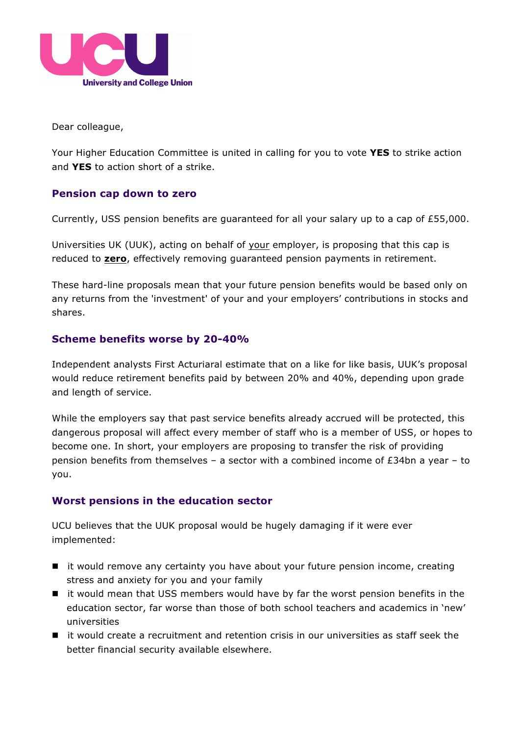

Dear colleague,

Your Higher Education Committee is united in calling for you to vote **YES** to strike action and **YES** to action short of a strike.

## **Pension cap down to zero**

Currently, USS pension benefits are guaranteed for all your salary up to a cap of £55,000.

Universities UK (UUK), acting on behalf of your employer, is proposing that this cap is reduced to **zero**, effectively removing guaranteed pension payments in retirement.

These hard-line proposals mean that your future pension benefits would be based only on any returns from the 'investment' of your and your employers' contributions in stocks and shares.

### **Scheme benefits worse by 20-40%**

Independent analysts First Acturiaral estimate that on a like for like basis, UUK's proposal would reduce retirement benefits paid by between 20% and 40%, depending upon grade and length of service.

While the employers say that past service benefits already accrued will be protected, this dangerous proposal will affect every member of staff who is a member of USS, or hopes to become one. In short, your employers are proposing to transfer the risk of providing pension benefits from themselves – a sector with a combined income of  $E34$ bn a year – to you.

### **Worst pensions in the education sector**

UCU believes that the UUK proposal would be hugely damaging if it were ever implemented:

- it would remove any certainty you have about your future pension income, creating stress and anxiety for you and your family
- it would mean that USS members would have by far the worst pension benefits in the education sector, far worse than those of both school teachers and academics in 'new' universities
- $\blacksquare$  it would create a recruitment and retention crisis in our universities as staff seek the better financial security available elsewhere.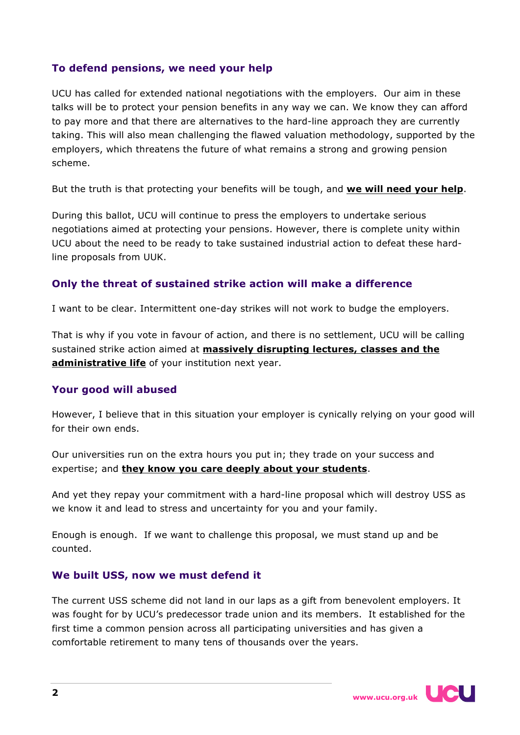# **To defend pensions, we need your help**

UCU has called for extended national negotiations with the employers. Our aim in these talks will be to protect your pension benefits in any way we can. We know they can afford to pay more and that there are alternatives to the hard-line approach they are currently taking. This will also mean challenging the flawed valuation methodology, supported by the employers, which threatens the future of what remains a strong and growing pension scheme.

But the truth is that protecting your benefits will be tough, and **we will need your help**.

During this ballot, UCU will continue to press the employers to undertake serious negotiations aimed at protecting your pensions. However, there is complete unity within UCU about the need to be ready to take sustained industrial action to defeat these hardline proposals from UUK.

# **Only the threat of sustained strike action will make a difference**

I want to be clear. Intermittent one-day strikes will not work to budge the employers.

That is why if you vote in favour of action, and there is no settlement, UCU will be calling sustained strike action aimed at **massively disrupting lectures, classes and the administrative life** of your institution next year.

# **Your good will abused**

However, I believe that in this situation your employer is cynically relying on your good will for their own ends.

Our universities run on the extra hours you put in; they trade on your success and expertise; and **they know you care deeply about your students**.

And yet they repay your commitment with a hard-line proposal which will destroy USS as we know it and lead to stress and uncertainty for you and your family.

Enough is enough. If we want to challenge this proposal, we must stand up and be counted.

# **We built USS, now we must defend it**

The current USS scheme did not land in our laps as a gift from benevolent employers. It was fought for by UCU's predecessor trade union and its members. It established for the first time a common pension across all participating universities and has given a comfortable retirement to many tens of thousands over the years.